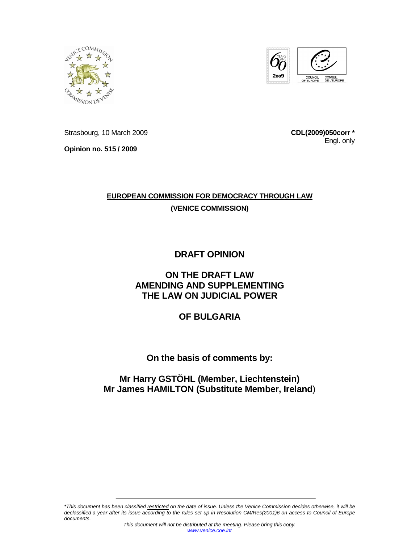



Strasbourg, 10 March 2009

**Opinion no. 515 / 2009** 

**CDL(2009)050corr \*** Engl. only

# **EUROPEAN COMMISSION FOR DEMOCRACY THROUGH LAW**

**(VENICE COMMISSION)**

# **DRAFT OPINION**

# **ON THE DRAFT LAW AMENDING AND SUPPLEMENTING THE LAW ON JUDICIAL POWER**

# **OF BULGARIA**

# **On the basis of comments by:**

# **Mr Harry GSTÖHL (Member, Liechtenstein) Mr James HAMILTON (Substitute Member, Ireland**)

\*This document has been classified restricted on the date of issue. Unless the Venice Commission decides otherwise, it will be declassified a year after its issue according to the rules set up in Resolution CM/Res(2001)6 on access to Council of Europe documents.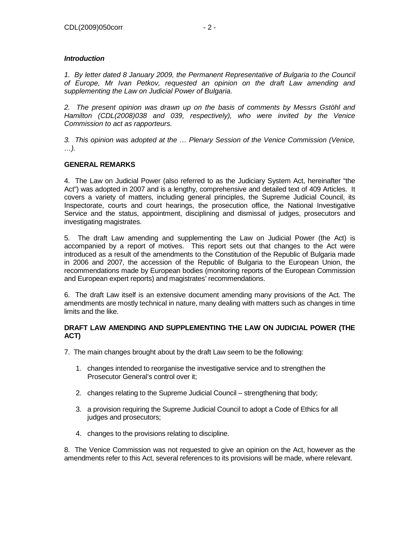## **Introduction**

1. By letter dated 8 January 2009, the Permanent Representative of Bulgaria to the Council of Europe, Mr Ivan Petkov, requested an opinion on the draft Law amending and supplementing the Law on Judicial Power of Bulgaria.

2. The present opinion was drawn up on the basis of comments by Messrs Gstöhl and Hamilton (CDL(2008)038 and 039, respectively), who were invited by the Venice Commission to act as rapporteurs.

3. This opinion was adopted at the … Plenary Session of the Venice Commission (Venice, …).

# **GENERAL REMARKS**

4. The Law on Judicial Power (also referred to as the Judiciary System Act, hereinafter "the Act") was adopted in 2007 and is a lengthy, comprehensive and detailed text of 409 Articles. It covers a variety of matters, including general principles, the Supreme Judicial Council, its Inspectorate, courts and court hearings, the prosecution office, the National Investigative Service and the status, appointment, disciplining and dismissal of judges, prosecutors and investigating magistrates.

5. The draft Law amending and supplementing the Law on Judicial Power (the Act) is accompanied by a report of motives. This report sets out that changes to the Act were introduced as a result of the amendments to the Constitution of the Republic of Bulgaria made in 2006 and 2007, the accession of the Republic of Bulgaria to the European Union, the recommendations made by European bodies (monitoring reports of the European Commission and European expert reports) and magistrates' recommendations.

6. The draft Law itself is an extensive document amending many provisions of the Act. The amendments are mostly technical in nature, many dealing with matters such as changes in time limits and the like.

### **DRAFT LAW AMENDING AND SUPPLEMENTING THE LAW ON JUDICIAL POWER (THE ACT)**

- 7. The main changes brought about by the draft Law seem to be the following:
	- 1. changes intended to reorganise the investigative service and to strengthen the Prosecutor General's control over it;
	- 2. changes relating to the Supreme Judicial Council strengthening that body;
	- 3. a provision requiring the Supreme Judicial Council to adopt a Code of Ethics for all judges and prosecutors;
	- 4. changes to the provisions relating to discipline.

8. The Venice Commission was not requested to give an opinion on the Act, however as the amendments refer to this Act, several references to its provisions will be made, where relevant.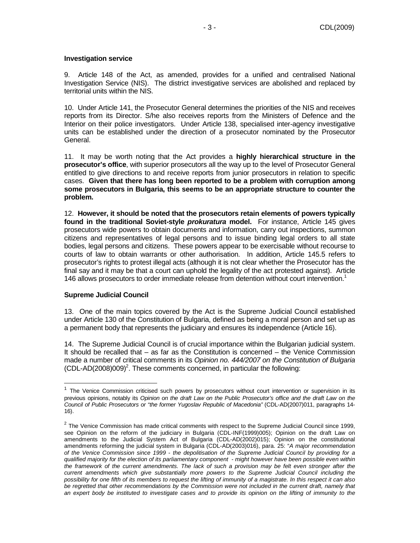#### **Investigation service**

9. Article 148 of the Act, as amended, provides for a unified and centralised National Investigation Service (NIS). The district investigative services are abolished and replaced by territorial units within the NIS.

10. Under Article 141, the Prosecutor General determines the priorities of the NIS and receives reports from its Director. S/he also receives reports from the Ministers of Defence and the Interior on their police investigators. Under Article 138, specialised inter-agency investigative units can be established under the direction of a prosecutor nominated by the Prosecutor General.

11. It may be worth noting that the Act provides a **highly hierarchical structure in the prosecutor's office**, with superior prosecutors all the way up to the level of Prosecutor General entitled to give directions to and receive reports from junior prosecutors in relation to specific cases. **Given that there has long been reported to be a problem with corruption among some prosecutors in Bulgaria, this seems to be an appropriate structure to counter the problem.**

12. **However, it should be noted that the prosecutors retain elements of powers typically found in the traditional Soviet-style prokuratura model.** For instance, Article 145 gives prosecutors wide powers to obtain documents and information, carry out inspections, summon citizens and representatives of legal persons and to issue binding legal orders to all state bodies, legal persons and citizens. These powers appear to be exercisable without recourse to courts of law to obtain warrants or other authorisation. In addition, Article 145.5 refers to prosecutor's rights to protest illegal acts (although it is not clear whether the Prosecutor has the final say and it may be that a court can uphold the legality of the act protested against). Article 146 allows prosecutors to order immediate release from detention without court intervention.<sup>1</sup>

#### **Supreme Judicial Council**

-

13. One of the main topics covered by the Act is the Supreme Judicial Council established under Article 130 of the Constitution of Bulgaria, defined as being a moral person and set up as a permanent body that represents the judiciary and ensures its independence (Article 16).

14. The Supreme Judicial Council is of crucial importance within the Bulgarian judicial system. It should be recalled that – as far as the Constitution is concerned – the Venice Commission made a number of critical comments in its Opinion no. 444/2007 on the Constitution of Bulgaria  $(CDL-AD(2008)009)^2$ . These comments concerned, in particular the following:

<sup>&</sup>lt;sup>1</sup> The Venice Commission criticised such powers by prosecutors without court intervention or supervision in its previous opinions, notably its Opinion on the draft Law on the Public Prosecutor's office and the draft Law on the Council of Public Prosecutors or "the former Yugoslav Republic of Macedonia" (CDL-AD(2007)011, paragraphs 14- 16).

 $2$  The Venice Commission has made critical comments with respect to the Supreme Judicial Council since 1999, see Opinion on the reform of the judiciary in Bulgaria (CDL-INF(1999)005); Opinion on the draft Law on amendments to the Judicial System Act of Bulgaria (CDL-AD(2002)015); Opinion on the constitutional amendments reforming the judicial system in Bulgaria (CDL-AD(2003)016), para. 25: "A major recommendation of the Venice Commission since 1999 - the depolitisation of the Supreme Judicial Council by providing for a qualified majority for the election of its parliamentary component - might however have been possible even within the framework of the current amendments. The lack of such a provision may be felt even stronger after the current amendments which give substantially more powers to the Supreme Judicial Council including the possibility for one fifth of its members to request the lifting of immunity of a magistrate. In this respect it can also be regretted that other recommendations by the Commission were not included in the current draft, namely that an expert body be instituted to investigate cases and to provide its opinion on the lifting of immunity to the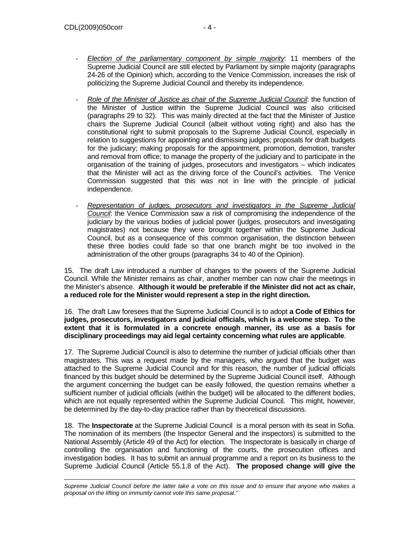$\overline{a}$ 

- $E$ lection of the parliamentary component by simple majority: 11 members of the Supreme Judicial Council are still elected by Parliament by simple majority (paragraphs 24-26 of the Opinion) which, according to the Venice Commission, increases the risk of politicizing the Supreme Judicial Council and thereby its independence.
- Role of the Minister of Justice as chair of the Supreme Judicial Council: the function of the Minister of Justice within the Supreme Judicial Council was also criticised (paragraphs 29 to 32). This was mainly directed at the fact that the Minister of Justice chairs the Supreme Judicial Council (albeit without voting right) and also has the constitutional right to submit proposals to the Supreme Judicial Council, especially in relation to suggestions for appointing and dismissing judges; proposals for draft budgets for the judiciary; making proposals for the appointment, promotion, demotion, transfer and removal from office; to manage the property of the judiciary and to participate in the organisation of the training of judges, prosecutors and investigators – which indicates that the Minister will act as the driving force of the Council's activities. The Venice Commission suggested that this was not in line with the principle of judicial independence.
- Representation of judges, prosecutors and investigators in the Supreme Judicial Council: the Venice Commission saw a risk of compromising the independence of the judiciary by the various bodies of judicial power (judges, prosecutors and investigating magistrates) not because they were brought together within the Supreme Judicial Council, but as a consequence of this common organisation, the distinction between these three bodies could fade so that one branch might be too involved in the administration of the other groups (paragraphs 34 to 40 of the Opinion).

15. The draft Law introduced a number of changes to the powers of the Supreme Judicial Council. While the Minister remains as chair, another member can now chair the meetings in the Minister's absence. **Although it would be preferable if the Minister did not act as chair, a reduced role for the Minister would represent a step in the right direction.**

16. The draft Law foresees that the Supreme Judicial Council is to adopt **a Code of Ethics for judges, prosecutors, investigators and judicial officials, which is a welcome step. To the extent that it is formulated in a concrete enough manner, its use as a basis for disciplinary proceedings may aid legal certainty concerning what rules are applicable**.

17. The Supreme Judicial Council is also to determine the number of judicial officials other than magistrates. This was a request made by the managers, who argued that the budget was attached to the Supreme Judicial Council and for this reason, the number of judicial officials financed by this budget should be determined by the Supreme Judicial Council itself. Although the argument concerning the budget can be easily followed, the question remains whether a sufficient number of judicial officials (within the budget) will be allocated to the different bodies, which are not equally represented within the Supreme Judicial Council. This might, however, be determined by the day-to-day practice rather than by theoretical discussions.

18. The **Inspectorate** at the Supreme Judicial Council is a moral person with its seat in Sofia. The nomination of its members (the Inspector General and the inspectors) is submitted to the National Assembly (Article 49 of the Act) for election. The Inspectorate is basically in charge of controlling the organisation and functioning of the courts, the prosecution offices and investigation bodies. It has to submit an annual programme and a report on its business to the Supreme Judicial Council (Article 55.1.8 of the Act). **The proposed change will give the** 

Supreme Judicial Council before the latter take a vote on this issue and to ensure that anyone who makes a proposal on the lifting on immunity cannot vote this same proposal."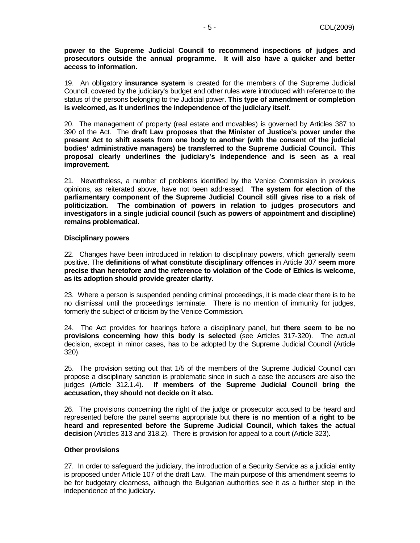**power to the Supreme Judicial Council to recommend inspections of judges and prosecutors outside the annual programme. It will also have a quicker and better access to information.**

19. An obligatory **insurance system** is created for the members of the Supreme Judicial Council, covered by the judiciary's budget and other rules were introduced with reference to the status of the persons belonging to the Judicial power. **This type of amendment or completion is welcomed, as it underlines the independence of the judiciary itself.**

20. The management of property (real estate and movables) is governed by Articles 387 to 390 of the Act. The **draft Law proposes that the Minister of Justice's power under the present Act to shift assets from one body to another (with the consent of the judicial bodies' administrative managers) be transferred to the Supreme Judicial Council. This proposal clearly underlines the judiciary's independence and is seen as a real improvement.**

21.Nevertheless, a number of problems identified by the Venice Commission in previous opinions, as reiterated above, have not been addressed. **The system for election of the parliamentary component of the Supreme Judicial Council still gives rise to a risk of politicization. The combination of powers in relation to judges prosecutors and investigators in a single judicial council (such as powers of appointment and discipline) remains problematical.**

#### **Disciplinary powers**

22. Changes have been introduced in relation to disciplinary powers, which generally seem positive. The **definitions of what constitute disciplinary offences** in Article 307 **seem more precise than heretofore and the reference to violation of the Code of Ethics is welcome, as its adoption should provide greater clarity.** 

23. Where a person is suspended pending criminal proceedings, it is made clear there is to be no dismissal until the proceedings terminate. There is no mention of immunity for judges, formerly the subject of criticism by the Venice Commission.

24. The Act provides for hearings before a disciplinary panel, but **there seem to be no provisions concerning how this body is selected** (see Articles 317-320). The actual decision, except in minor cases, has to be adopted by the Supreme Judicial Council (Article 320).

25. The provision setting out that 1/5 of the members of the Supreme Judicial Council can propose a disciplinary sanction is problematic since in such a case the accusers are also the judges (Article 312.1.4). **If members of the Supreme Judicial Council bring the accusation, they should not decide on it also.**

26. The provisions concerning the right of the judge or prosecutor accused to be heard and represented before the panel seems appropriate but **there is no mention of a right to be heard and represented before the Supreme Judicial Council, which takes the actual decision** (Articles 313 and 318.2). There is provision for appeal to a court (Article 323).

### **Other provisions**

27. In order to safeguard the judiciary, the introduction of a Security Service as a judicial entity is proposed under Article 107 of the draft Law. The main purpose of this amendment seems to be for budgetary clearness, although the Bulgarian authorities see it as a further step in the independence of the judiciary.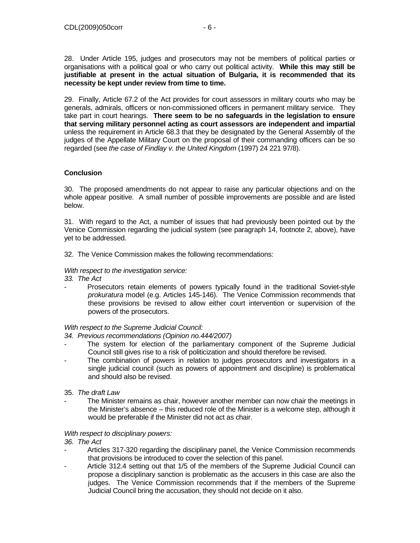28. Under Article 195, judges and prosecutors may not be members of political parties or organisations with a political goal or who carry out political activity. **While this may still be justifiable at present in the actual situation of Bulgaria, it is recommended that its necessity be kept under review from time to time.**

29. Finally, Article 67.2 of the Act provides for court assessors in military courts who may be generals, admirals, officers or non-commissioned officers in permanent military service. They take part in court hearings. **There seem to be no safeguards in the legislation to ensure that serving military personnel acting as court assessors are independent and impartial** unless the requirement in Article 68.3 that they be designated by the General Assembly of the judges of the Appellate Military Court on the proposal of their commanding officers can be so regarded (see the case of Findlay v. the United Kingdom (1997) 24 221 97/8).

# **Conclusion**

30. The proposed amendments do not appear to raise any particular objections and on the whole appear positive. A small number of possible improvements are possible and are listed below.

31. With regard to the Act, a number of issues that had previously been pointed out by the Venice Commission regarding the judicial system (see paragraph 14, footnote 2, above), have yet to be addressed.

32. The Venice Commission makes the following recommendations:

### With respect to the investigation service:

33. The Act

Prosecutors retain elements of powers typically found in the traditional Soviet-style prokuratura model (e.g. Articles 145-146). The Venice Commission recommends that these provisions be revised to allow either court intervention or supervision of the powers of the prosecutors.

### With respect to the Supreme Judicial Council:

- 34. Previous recommendations (Opinion no.444/2007)
- The system for election of the parliamentary component of the Supreme Judicial Council still gives rise to a risk of politicization and should therefore be revised.
- The combination of powers in relation to judges prosecutors and investigators in a single judicial council (such as powers of appointment and discipline) is problematical and should also be revised.
- 35. The draft Law
- The Minister remains as chair, however another member can now chair the meetings in the Minister's absence – this reduced role of the Minister is a welcome step, although it would be preferable if the Minister did not act as chair.

### With respect to disciplinary powers:

- 36. The Act
- Articles 317-320 regarding the disciplinary panel, the Venice Commission recommends that provisions be introduced to cover the selection of this panel.
- Article 312.4 setting out that 1/5 of the members of the Supreme Judicial Council can propose a disciplinary sanction is problematic as the accusers in this case are also the judges. The Venice Commission recommends that if the members of the Supreme Judicial Council bring the accusation, they should not decide on it also.